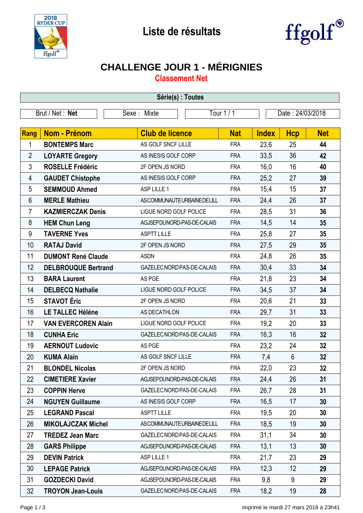



## **CHALLENGE JOUR 1 - MÉRIGNIES**

**Classement Net**

| Série(s) : Toutes |                            |                            |            |              |                  |            |  |
|-------------------|----------------------------|----------------------------|------------|--------------|------------------|------------|--|
|                   | Brut / Net: Net            | Sexe: Mixte                | Tour 1 / 1 |              | Date: 24/03/2018 |            |  |
|                   |                            |                            |            |              |                  |            |  |
| Rang              | <b>Nom - Prénom</b>        | <b>Club de licence</b>     | <b>Nat</b> | <b>Index</b> | <b>Hcp</b>       | <b>Net</b> |  |
| 1                 | <b>BONTEMPS Marc</b>       | AS GOLF SNCF LILLE         | <b>FRA</b> | 23,6         | 25               | 44         |  |
| $\overline{2}$    | <b>LOYARTE Gregory</b>     | AS INESIS GOLF CORP        | <b>FRA</b> | 33,5         | 36               | 42         |  |
| 3                 | <b>ROSELLE Frédéric</b>    | 2F OPEN JS NORD            | <b>FRA</b> | 16,0         | 16               | 40         |  |
| 4                 | <b>GAUDET Chistophe</b>    | AS INESIS GOLF CORP        | <b>FRA</b> | 25,2         | 27               | 39         |  |
| 5                 | <b>SEMMOUD Ahmed</b>       | ASP LILLE 1                | <b>FRA</b> | 15,4         | 15               | 37         |  |
| 6                 | <b>MERLE Mathieu</b>       | ASCOMMUNAUTEURBAINEDELILL  | <b>FRA</b> | 24,4         | 26               | 37         |  |
| 7                 | <b>KAZMIERCZAK Denis</b>   | LIGUE NORD GOLF POLICE     | <b>FRA</b> | 28,5         | 31               | 36         |  |
| 8                 | <b>HEM Chun Leng</b>       | AGJSEPDUNORD-PAS-DE-CALAIS | <b>FRA</b> | 14,5         | 14               | 35         |  |
| 9                 | <b>TAVERNE Yves</b>        | <b>ASPTT LILLE</b>         | <b>FRA</b> | 25,8         | 27               | 35         |  |
| 10                | <b>RATAJ David</b>         | 2F OPEN JS NORD            | <b>FRA</b> | 27,5         | 29               | 35         |  |
| 11                | <b>DUMONT René Claude</b>  | <b>ASDN</b>                | <b>FRA</b> | 24,8         | 26               | 35         |  |
| 12                | <b>DELBROUQUE Bertrand</b> | GAZELEC NORD PAS-DE-CALAIS | <b>FRA</b> | 30,4         | 33               | 34         |  |
| 13                | <b>BARA Laurent</b>        | AS PGE                     | <b>FRA</b> | 21,8         | 23               | 34         |  |
| 14                | <b>DELBECQ Nathalie</b>    | LIGUE NORD GOLF POLICE     | <b>FRA</b> | 34,5         | 37               | 34         |  |
| 15                | <b>STAVOT Éric</b>         | 2F OPEN JS NORD            | <b>FRA</b> | 20,6         | 21               | 33         |  |
| 16                | <b>LE TALLEC Héléne</b>    | AS DECATHLON               | <b>FRA</b> | 29,7         | 31               | 33         |  |
| 17                | <b>VAN EVERCOREN Alain</b> | LIGUE NORD GOLF POLICE     | <b>FRA</b> | 19,2         | 20               | 33         |  |
| 18                | <b>CUNHA Eric</b>          | GAZELEC NORD PAS-DE-CALAIS | <b>FRA</b> | 16,3         | 16               | 32         |  |
| 19                | <b>AERNOUT Ludovic</b>     | AS PGE                     | <b>FRA</b> | 23,2         | 24               | 32         |  |
| 20                | <b>KUMA Alain</b>          | AS GOLF SNCF LILLE         | <b>FRA</b> | 7,4          | 6                | 32         |  |
| 21                | <b>BLONDEL Nicolas</b>     | 2F OPEN JS NORD            | <b>FRA</b> | 22,0         | 23               | 32         |  |
| 22                | <b>CIMETIERE Xavier</b>    | AGJSEPDUNORD-PAS-DE-CALAIS | <b>FRA</b> | 24,4         | 26               | 31         |  |
| 23                | <b>COPPIN Herve</b>        | GAZELEC NORD PAS-DE-CALAIS | <b>FRA</b> | 26,7         | 28               | 31         |  |
| 24                | <b>NGUYEN Guillaume</b>    | AS INESIS GOLF CORP        | <b>FRA</b> | 16,5         | 17               | 30         |  |
| 25                | <b>LEGRAND Pascal</b>      | <b>ASPTT LILLE</b>         | <b>FRA</b> | 19,5         | 20               | 30         |  |
| 26                | <b>MIKOLAJCZAK Michel</b>  | ASCOMMUNAUTEURBAINEDELILL  | <b>FRA</b> | 18,5         | 19               | 30         |  |
| 27                | <b>TREDEZ Jean Marc</b>    | GAZELEC NORD PAS-DE-CALAIS | <b>FRA</b> | 31,1         | 34               | 30         |  |
| 28                | <b>GARS Philippe</b>       | AGJSEPDUNORD-PAS-DE-CALAIS | <b>FRA</b> | 13,1         | 13               | 30         |  |
| 29                | <b>DEVIN Patrick</b>       | ASP LILLE 1                | <b>FRA</b> | 21,7         | 23               | 29         |  |
| 30                | <b>LEPAGE Patrick</b>      | AGJSEPDUNORD-PAS-DE-CALAIS | <b>FRA</b> | 12,3         | 12               | 29         |  |
| 31                | <b>GOZDECKI David</b>      | AGJSEPDUNORD-PAS-DE-CALAIS | <b>FRA</b> | 9,8          | 9                | 29         |  |
| 32                | <b>TROYON Jean-Louis</b>   | GAZELEC NORD PAS-DE-CALAIS | <b>FRA</b> | 18,2         | 19               | 28         |  |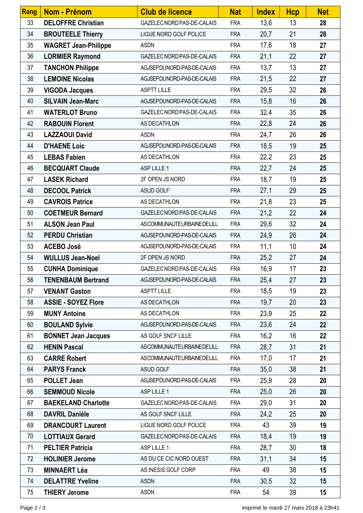| <b>Rang</b> | Nom - Prénom                | <b>Club de licence</b>     | <b>Nat</b> | <b>Index</b> | <b>Hcp</b> | <b>Net</b> |
|-------------|-----------------------------|----------------------------|------------|--------------|------------|------------|
| 33          | <b>DELOFFRE Christian</b>   | GAZELEC NORD PAS-DE-CALAIS | <b>FRA</b> | 13,6         | 13         | 28         |
| 34          | <b>BROUTEELE Thierry</b>    | LIGUE NORD GOLF POLICE     | <b>FRA</b> | 20,7         | 21         | 28         |
| 35          | <b>WAGRET Jean-Philippe</b> | <b>ASDN</b>                | <b>FRA</b> | 17,6         | 18         | 27         |
| 36          | <b>LORMIER Raymond</b>      | GAZELEC NORD PAS-DE-CALAIS | <b>FRA</b> | 21,1         | 22         | 27         |
| 37          | <b>TANCHON Philippe</b>     | AGJSEPDUNORD-PAS-DE-CALAIS | <b>FRA</b> | 13,7         | 13         | 27         |
| 38          | <b>LEMOINE Nicolas</b>      | AGJSEPDUNORD-PAS-DE-CALAIS | <b>FRA</b> | 21,5         | 22         | 27         |
| 39          | <b>VIGODA Jacques</b>       | <b>ASPTT LILLE</b>         | <b>FRA</b> | 29,5         | 32         | 26         |
| 40          | <b>SILVAIN Jean-Marc</b>    | AGJSEPDUNORD-PAS-DE-CALAIS | <b>FRA</b> | 15,8         | 16         | 26         |
| 41          | <b>WATERLOT Bruno</b>       | GAZELEC NORD PAS-DE-CALAIS | <b>FRA</b> | 32,4         | 35         | 26         |
| 42          | <b>RABOUIN Florent</b>      | AS DECATHLON               | <b>FRA</b> | 22,8         | 24         | 26         |
| 43          | <b>LAZZAOUI David</b>       | <b>ASDN</b>                | <b>FRA</b> | 24,7         | 26         | 26         |
| 44          | <b>D'HAENE Loic</b>         | AGJSEPDUNORD-PAS-DE-CALAIS | <b>FRA</b> | 18,5         | 19         | 25         |
| 45          | <b>LEBAS Fabien</b>         | AS DECATHLON               | <b>FRA</b> | 22,2         | 23         | 25         |
| 46          | <b>BECQUART Claude</b>      | ASP LILLE 1                | <b>FRA</b> | 22,7         | 24         | 25         |
| 47          | <b>LASEK Richard</b>        | 2F OPEN JS NORD            | <b>FRA</b> | 18,7         | 19         | 25         |
| 48          | <b>DECOOL Patrick</b>       | ASUD GOLF                  | <b>FRA</b> | 27,1         | 29         | 25         |
| 49          | <b>CAVROIS Patrice</b>      | AS DECATHLON               | <b>FRA</b> | 21,8         | 23         | 25         |
| 50          | <b>COETMEUR Bernard</b>     | GAZELEC NORD PAS-DE-CALAIS | <b>FRA</b> | 21,2         | 22         | 24         |
| 51          | <b>ALSON Jean Paul</b>      | ASCOMMUNAUTEURBAINEDELILL  | <b>FRA</b> | 29,6         | 32         | 24         |
| 52          | <b>PERDU Christian</b>      | AGJSEPDUNORD-PAS-DE-CALAIS | <b>FRA</b> | 24,9         | 26         | 24         |
| 53          | <b>ACEBO José</b>           | AGJSEPDUNORD-PAS-DE-CALAIS | <b>FRA</b> | 11,1         | 10         | 24         |
| 54          | <b>WULLUS Jean-Noel</b>     | 2F OPEN JS NORD            | <b>FRA</b> | 25,2         | 27         | 24         |
| 55          | <b>CUNHA Dominique</b>      | GAZELEC NORD PAS-DE-CALAIS | <b>FRA</b> | 16,9         | 17         | 23         |
| 56          | <b>TENENBAUM Bertrand</b>   | AGJSEPDUNORD-PAS-DE-CALAIS | <b>FRA</b> | 25,4         | 27         | 23         |
| 57          | <b>VENANT Gaston</b>        | <b>ASPTT LILLE</b>         | <b>FRA</b> | 18,5         | 19         | 23         |
| 58          | <b>ASSIE - SOYEZ Flore</b>  | AS DECATHLON               | <b>FRA</b> | 19,7         | 20         | 23         |
| 59          | <b>MUNY Antoine</b>         | AS DECATHLON               | <b>FRA</b> | 23,9         | 25         | 22         |
| 60          | <b>BOULAND Sylvie</b>       | AGJSEPDUNORD-PAS-DE-CALAIS | <b>FRA</b> | 23,6         | 24         | 22         |
| 61          | <b>BONNET Jean Jacques</b>  | AS GOLF SNCF LILLE         | <b>FRA</b> | 16,2         | 16         | 22         |
| 62          | <b>HENIN Pascal</b>         | ASCOMMUNAUTEURBAINEDELILL  | <b>FRA</b> | 28,7         | 31         | 21         |
| 63          | <b>CARRE Robert</b>         | ASCOMMUNAUTEURBAINEDELILL  | <b>FRA</b> | 17,0         | 17         | 21         |
| 64          | <b>PARYS Franck</b>         | ASUD GOLF                  | <b>FRA</b> | 35,0         | 38         | 21         |
| 65          | <b>POLLET Jean</b>          | AGJSEPDUNORD-PAS-DE-CALAIS | <b>FRA</b> | 25,9         | 28         | 20         |
| 66          | <b>SEMMOUD Nicole</b>       | ASP LILLE 1                | <b>FRA</b> | 25,0         | 26         | 20         |
| 67          | <b>BAEKELAND Charlotte</b>  | GAZELEC NORD PAS-DE-CALAIS | <b>FRA</b> | 29,0         | 31         | 20         |
| 68          | <b>DAVRIL Danièle</b>       | AS GOLF SNCF LILLE         | <b>FRA</b> | 24,2         | 25         | 20         |
| 69          | <b>DRANCOURT Laurent</b>    | LIGUE NORD GOLF POLICE     | <b>FRA</b> | 43           | 39         | 19         |
| 70          | <b>LOTTIAUX Gerard</b>      | GAZELEC NORD PAS-DE-CALAIS | <b>FRA</b> | 18,4         | 19         | 19         |
| 71          | <b>PELTIER Patricia</b>     | ASP LILLE 1                | <b>FRA</b> | 28,7         | 30         | 18         |
| 72          | <b>HOLINIER Jerome</b>      | AS DU CE CIC NORD OUEST    | <b>FRA</b> | 31,1         | 34         | 15         |
| 73          | <b>MINNAERT Léa</b>         | AS INESIS GOLF CORP        | <b>FRA</b> | 49           | 38         | 15         |
| 74          | <b>DELATTRE Yveline</b>     | <b>ASDN</b>                | <b>FRA</b> | 30,5         | 32         | 15         |
| 75          | <b>THIERY Jerome</b>        | <b>ASDN</b>                | <b>FRA</b> | 54           | 39         | 15         |